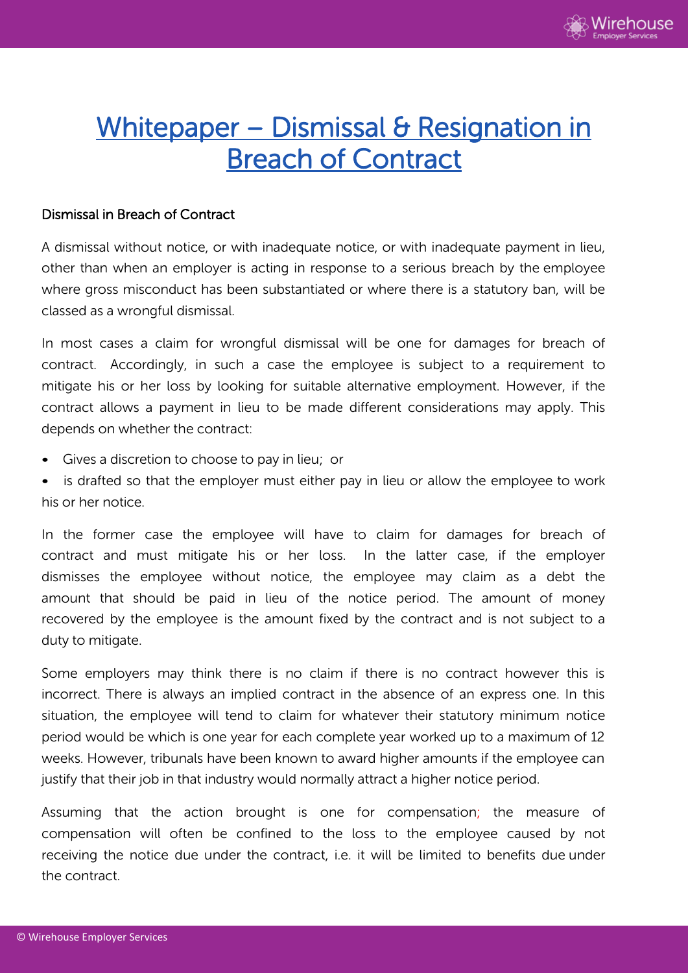

## Whitepaper – Dismissal & Resignation in Breach of Contract

## Dismissal in Breach of Contract

A dismissal without notice, or with inadequate notice, or with inadequate payment in lieu, other than when an employer is acting in response to a serious breach by the employee where gross misconduct has been substantiated or where there is a statutory ban, will be classed as a wrongful dismissal.

In most cases a claim for wrongful dismissal will be one for damages for breach of contract. Accordingly, in such a case the employee is subject to a requirement to mitigate his or her loss by looking for suitable alternative employment. However, if the contract allows a payment in lieu to be made different considerations may apply. This depends on whether the contract:

- Gives a discretion to choose to pay in lieu; or
- is drafted so that the employer must either pay in lieu or allow the employee to work his or her notice.

In the former case the employee will have to claim for damages for breach of contract and must mitigate his or her loss. In the latter case, if the employer dismisses the employee without notice, the employee may claim as a debt the amount that should be paid in lieu of the notice period. The amount of money recovered by the employee is the amount fixed by the contract and is not subject to a duty to mitigate.

Some employers may think there is no claim if there is no contract however this is incorrect. There is always an implied contract in the absence of an express one. In this situation, the employee will tend to claim for whatever their statutory minimum notice period would be which is one year for each complete year worked up to a maximum of 12 weeks. However, tribunals have been known to award higher amounts if the employee can justify that their job in that industry would normally attract a higher notice period.

Assuming that the action brought is one for compensation; the measure of compensation will often be confined to the loss to the employee caused by not receiving the notice due under the contract, i.e. it will be limited to benefits due under the contract.